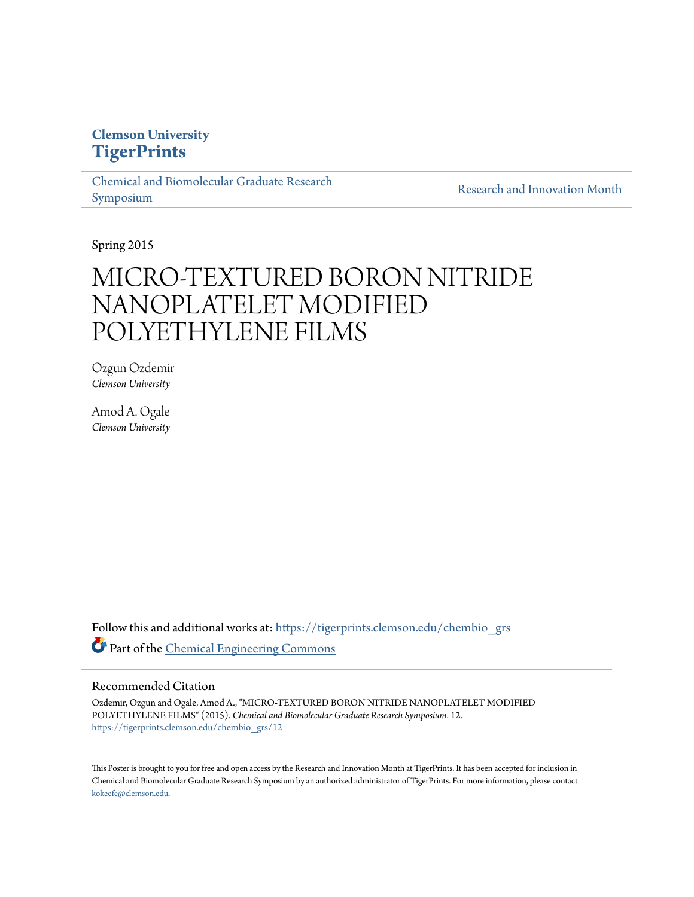## **Clemson University [TigerPrints](https://tigerprints.clemson.edu?utm_source=tigerprints.clemson.edu%2Fchembio_grs%2F12&utm_medium=PDF&utm_campaign=PDFCoverPages)**

[Chemical and Biomolecular Graduate Research](https://tigerprints.clemson.edu/chembio_grs?utm_source=tigerprints.clemson.edu%2Fchembio_grs%2F12&utm_medium=PDF&utm_campaign=PDFCoverPages) [Symposium](https://tigerprints.clemson.edu/chembio_grs?utm_source=tigerprints.clemson.edu%2Fchembio_grs%2F12&utm_medium=PDF&utm_campaign=PDFCoverPages)

[Research and Innovation Month](https://tigerprints.clemson.edu/rim?utm_source=tigerprints.clemson.edu%2Fchembio_grs%2F12&utm_medium=PDF&utm_campaign=PDFCoverPages)

Spring 2015

# MICRO‐TEXTURED BORON NITRIDE NANOPLATELET MODIFIED POLYETHYLENE FILMS

Ozgun Ozdemir *Clemson University*

Amod A. Ogale *Clemson University*

Follow this and additional works at: [https://tigerprints.clemson.edu/chembio\\_grs](https://tigerprints.clemson.edu/chembio_grs?utm_source=tigerprints.clemson.edu%2Fchembio_grs%2F12&utm_medium=PDF&utm_campaign=PDFCoverPages) Part of the [Chemical Engineering Commons](http://network.bepress.com/hgg/discipline/240?utm_source=tigerprints.clemson.edu%2Fchembio_grs%2F12&utm_medium=PDF&utm_campaign=PDFCoverPages)

## Recommended Citation

Ozdemir, Ozgun and Ogale, Amod A., "MICRO‐TEXTURED BORON NITRIDE NANOPLATELET MODIFIED POLYETHYLENE FILMS" (2015). *Chemical and Biomolecular Graduate Research Symposium*. 12. [https://tigerprints.clemson.edu/chembio\\_grs/12](https://tigerprints.clemson.edu/chembio_grs/12?utm_source=tigerprints.clemson.edu%2Fchembio_grs%2F12&utm_medium=PDF&utm_campaign=PDFCoverPages)

This Poster is brought to you for free and open access by the Research and Innovation Month at TigerPrints. It has been accepted for inclusion in Chemical and Biomolecular Graduate Research Symposium by an authorized administrator of TigerPrints. For more information, please contact [kokeefe@clemson.edu](mailto:kokeefe@clemson.edu).